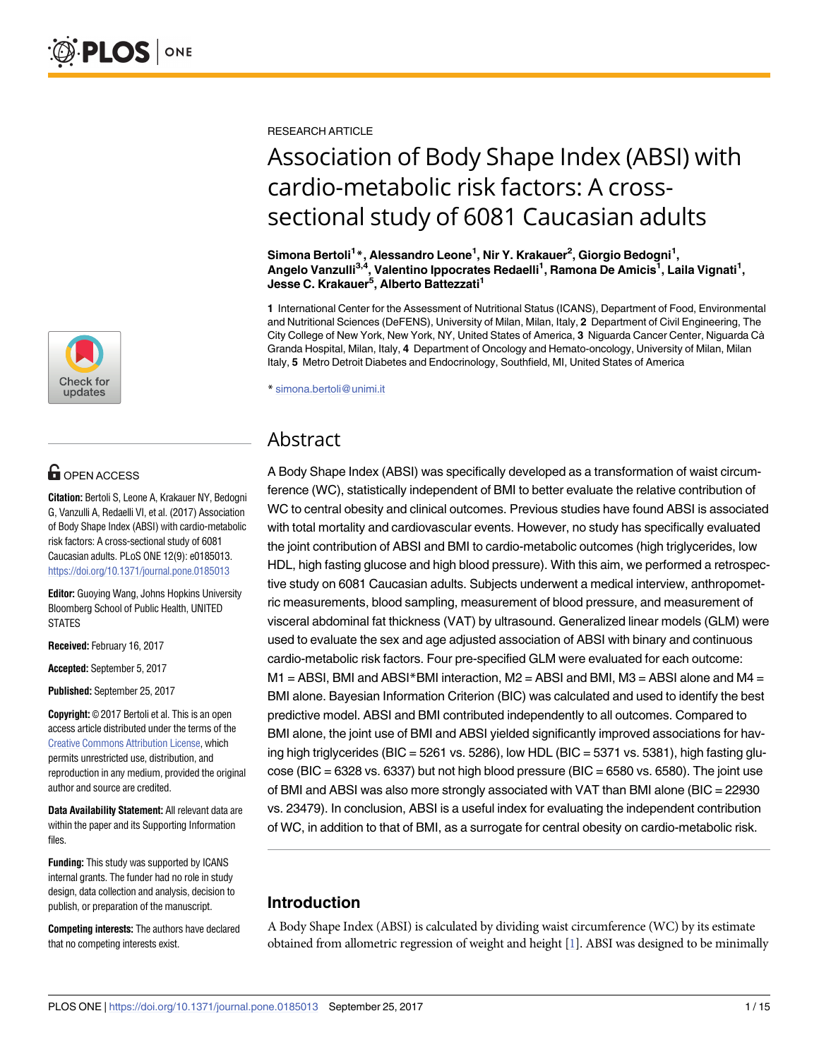

# **OPEN ACCESS**

**Citation:** Bertoli S, Leone A, Krakauer NY, Bedogni G, Vanzulli A, Redaelli VI, et al. (2017) Association of Body Shape Index (ABSI) with cardio-metabolic risk factors: A cross-sectional study of 6081 Caucasian adults. PLoS ONE 12(9): e0185013. <https://doi.org/10.1371/journal.pone.0185013>

**Editor:** Guoying Wang, Johns Hopkins University Bloomberg School of Public Health, UNITED **STATES** 

**Received:** February 16, 2017

**Accepted:** September 5, 2017

**Published:** September 25, 2017

**Copyright:** © 2017 Bertoli et al. This is an open access article distributed under the terms of the Creative Commons [Attribution](http://creativecommons.org/licenses/by/4.0/) License, which permits unrestricted use, distribution, and reproduction in any medium, provided the original author and source are credited.

**Data Availability Statement:** All relevant data are within the paper and its Supporting Information files.

**Funding:** This study was supported by ICANS internal grants. The funder had no role in study design, data collection and analysis, decision to publish, or preparation of the manuscript.

**Competing interests:** The authors have declared that no competing interests exist.

<span id="page-0-0"></span>RESEARCH ARTICLE

# Association of Body Shape Index (ABSI) with cardio-metabolic risk factors: A crosssectional study of 6081 Caucasian adults

**Simona Bertoli1 \*, Alessandro Leone1 , Nir Y. Krakauer2 , Giorgio Bedogni<sup>1</sup> , Angelo Vanzulli3,4, Valentino Ippocrates Redaelli1 , Ramona De Amicis1 , Laila Vignati1 , Jesse C. Krakauer5 , Alberto Battezzati1**

**1** International Center for the Assessment of Nutritional Status (ICANS), Department of Food, Environmental and Nutritional Sciences (DeFENS), University of Milan, Milan, Italy, **2** Department of Civil Engineering, The City College of New York, New York, NY, United States of America, **3** Niguarda Cancer Center, Niguarda Cà Granda Hospital, Milan, Italy, **4** Department of Oncology and Hemato-oncology, University of Milan, Milan Italy, **5** Metro Detroit Diabetes and Endocrinology, Southfield, MI, United States of America

\* simona.bertoli@unimi.it

# Abstract

A Body Shape Index (ABSI) was specifically developed as a transformation of waist circumference (WC), statistically independent of BMI to better evaluate the relative contribution of WC to central obesity and clinical outcomes. Previous studies have found ABSI is associated with total mortality and cardiovascular events. However, no study has specifically evaluated the joint contribution of ABSI and BMI to cardio-metabolic outcomes (high triglycerides, low HDL, high fasting glucose and high blood pressure). With this aim, we performed a retrospective study on 6081 Caucasian adults. Subjects underwent a medical interview, anthropometric measurements, blood sampling, measurement of blood pressure, and measurement of visceral abdominal fat thickness (VAT) by ultrasound. Generalized linear models (GLM) were used to evaluate the sex and age adjusted association of ABSI with binary and continuous cardio-metabolic risk factors. Four pre-specified GLM were evaluated for each outcome:  $M1 = ABSI$ , BMI and ABSI\*BMI interaction,  $M2 = ABSI$  and BMI, M3 = ABSI alone and M4 = BMI alone. Bayesian Information Criterion (BIC) was calculated and used to identify the best predictive model. ABSI and BMI contributed independently to all outcomes. Compared to BMI alone, the joint use of BMI and ABSI yielded significantly improved associations for having high triglycerides (BIC =  $5261$  vs.  $5286$ ), low HDL (BIC =  $5371$  vs.  $5381$ ), high fasting glu- $\csc(BIC = 6328 \text{ vs. } 6337)$  but not high blood pressure (BIC =  $6580 \text{ vs. } 6580$ ). The joint use of BMI and ABSI was also more strongly associated with VAT than BMI alone (BIC = 22930 vs. 23479). In conclusion, ABSI is a useful index for evaluating the independent contribution of WC, in addition to that of BMI, as a surrogate for central obesity on cardio-metabolic risk.

# **Introduction**

A Body Shape Index (ABSI) is calculated by dividing waist circumference (WC) by its estimate obtained from allometric regression of weight and height [[1](#page-12-0)]. ABSI was designed to be minimally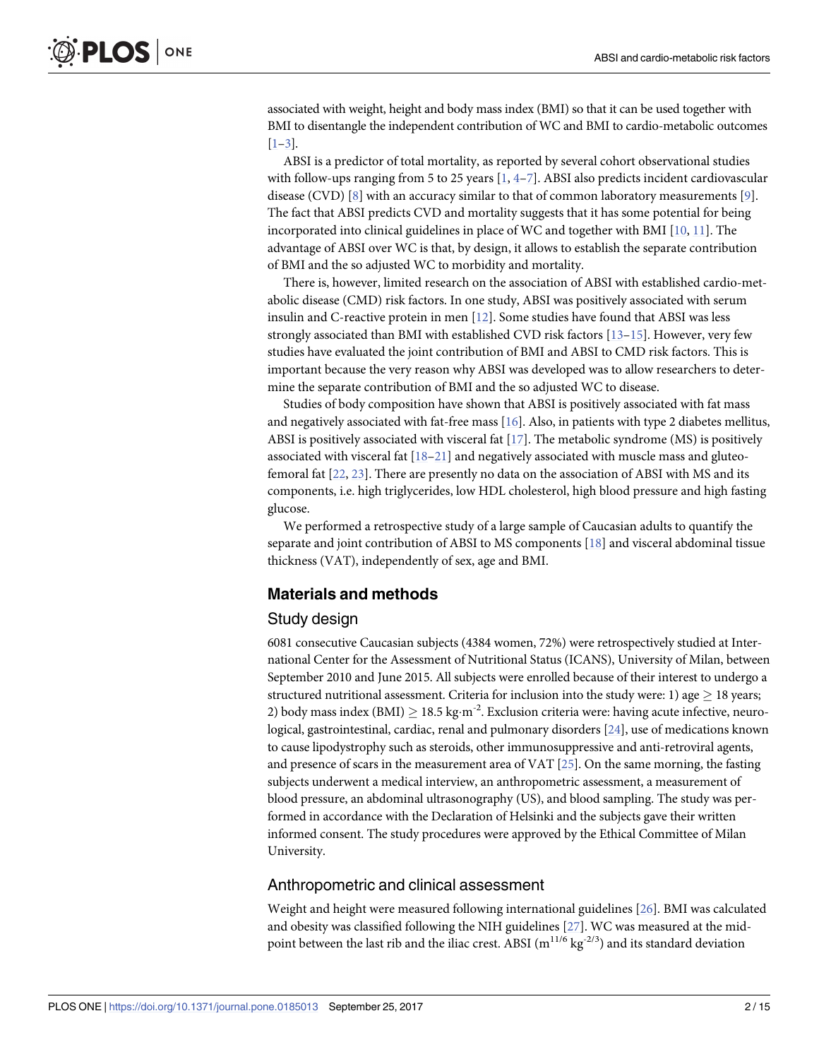<span id="page-1-0"></span>associated with weight, height and body mass index (BMI) so that it can be used together with BMI to disentangle the independent contribution of WC and BMI to cardio-metabolic outcomes [\[1–3\]](#page-12-0).

ABSI is a predictor of total mortality, as reported by several cohort observational studies with follow-ups ranging from 5 to 25 years [[1,](#page-12-0) [4–7\]](#page-13-0). ABSI also predicts incident cardiovascular disease (CVD) [[8](#page-13-0)] with an accuracy similar to that of common laboratory measurements [[9](#page-13-0)]. The fact that ABSI predicts CVD and mortality suggests that it has some potential for being incorporated into clinical guidelines in place of WC and together with BMI [\[10,](#page-13-0) [11\]](#page-13-0). The advantage of ABSI over WC is that, by design, it allows to establish the separate contribution of BMI and the so adjusted WC to morbidity and mortality.

There is, however, limited research on the association of ABSI with established cardio-metabolic disease (CMD) risk factors. In one study, ABSI was positively associated with serum insulin and C-reactive protein in men [[12](#page-13-0)]. Some studies have found that ABSI was less strongly associated than BMI with established CVD risk factors [[13–15\]](#page-13-0). However, very few studies have evaluated the joint contribution of BMI and ABSI to CMD risk factors. This is important because the very reason why ABSI was developed was to allow researchers to determine the separate contribution of BMI and the so adjusted WC to disease.

Studies of body composition have shown that ABSI is positively associated with fat mass and negatively associated with fat-free mass [[16](#page-13-0)]. Also, in patients with type 2 diabetes mellitus, ABSI is positively associated with visceral fat [\[17\]](#page-13-0). The metabolic syndrome (MS) is positively associated with visceral fat  $[18–21]$  and negatively associated with muscle mass and gluteofemoral fat [[22](#page-13-0), [23](#page-14-0)]. There are presently no data on the association of ABSI with MS and its components, i.e. high triglycerides, low HDL cholesterol, high blood pressure and high fasting glucose.

We performed a retrospective study of a large sample of Caucasian adults to quantify the separate and joint contribution of ABSI to MS components [\[18\]](#page-13-0) and visceral abdominal tissue thickness (VAT), independently of sex, age and BMI.

## **Materials and methods**

#### Study design

6081 consecutive Caucasian subjects (4384 women, 72%) were retrospectively studied at International Center for the Assessment of Nutritional Status (ICANS), University of Milan, between September 2010 and June 2015. All subjects were enrolled because of their interest to undergo a structured nutritional assessment. Criteria for inclusion into the study were: 1) age  $> 18$  years; 2) body mass index (BMI)  $\geq 18.5$  kg·m<sup>-2</sup>. Exclusion criteria were: having acute infective, neurological, gastrointestinal, cardiac, renal and pulmonary disorders [[24](#page-14-0)], use of medications known to cause lipodystrophy such as steroids, other immunosuppressive and anti-retroviral agents, and presence of scars in the measurement area of VAT [[25](#page-14-0)]. On the same morning, the fasting subjects underwent a medical interview, an anthropometric assessment, a measurement of blood pressure, an abdominal ultrasonography (US), and blood sampling. The study was performed in accordance with the Declaration of Helsinki and the subjects gave their written informed consent. The study procedures were approved by the Ethical Committee of Milan University.

#### Anthropometric and clinical assessment

Weight and height were measured following international guidelines [[26](#page-14-0)]. BMI was calculated and obesity was classified following the NIH guidelines [\[27\]](#page-14-0). WC was measured at the midpoint between the last rib and the iliac crest. ABSI  $(m^{11/6} \text{ kg}^{-2/3})$  and its standard deviation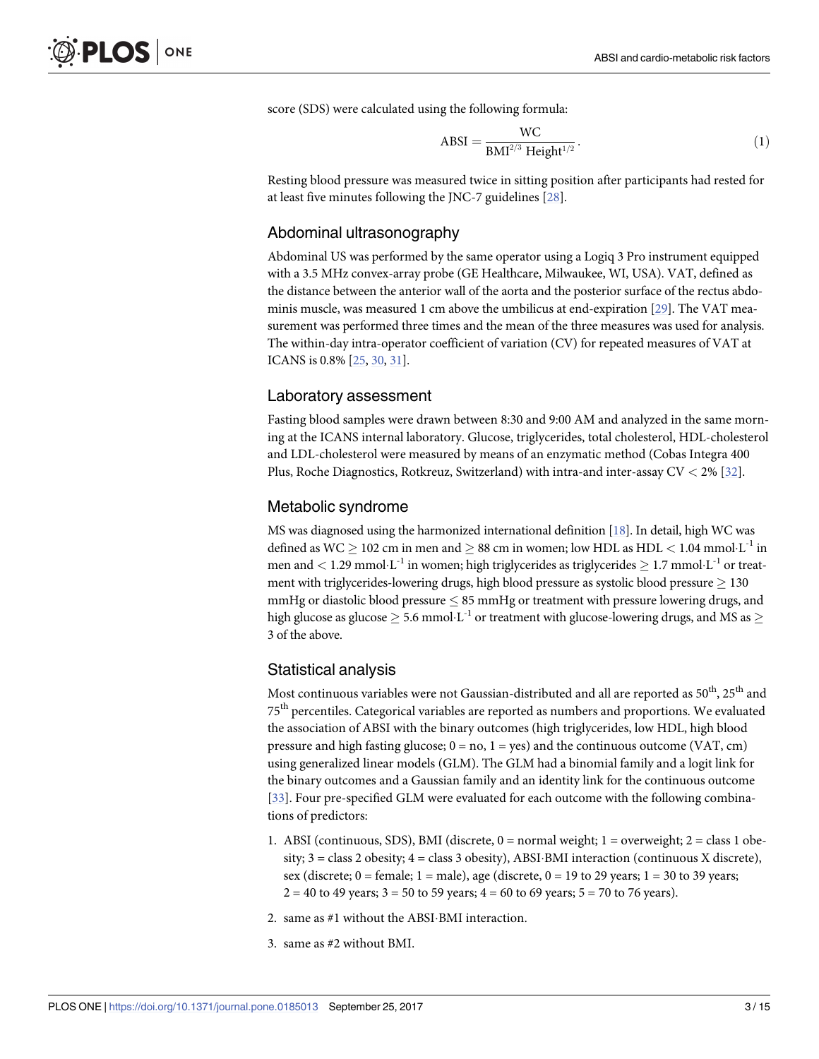<span id="page-2-0"></span>score (SDS) were calculated using the following formula:

$$
ABSI = \frac{WC}{BMI^{2/3} Height^{1/2}}.
$$
 (1)

Resting blood pressure was measured twice in sitting position after participants had rested for at least five minutes following the JNC-7 guidelines [\[28](#page-14-0)].

### Abdominal ultrasonography

Abdominal US was performed by the same operator using a Logiq 3 Pro instrument equipped with a 3.5 MHz convex-array probe (GE Healthcare, Milwaukee, WI, USA). VAT, defined as the distance between the anterior wall of the aorta and the posterior surface of the rectus abdominis muscle, was measured 1 cm above the umbilicus at end-expiration [[29](#page-14-0)]. The VAT measurement was performed three times and the mean of the three measures was used for analysis. The within-day intra-operator coefficient of variation (CV) for repeated measures of VAT at ICANS is 0.8% [[25](#page-14-0), [30](#page-14-0), [31\]](#page-14-0).

#### Laboratory assessment

Fasting blood samples were drawn between 8:30 and 9:00 AM and analyzed in the same morning at the ICANS internal laboratory. Glucose, triglycerides, total cholesterol, HDL-cholesterol and LDL-cholesterol were measured by means of an enzymatic method (Cobas Integra 400 Plus, Roche Diagnostics, Rotkreuz, Switzerland) with intra-and inter-assay CV *<* 2% [\[32\]](#page-14-0).

#### Metabolic syndrome

MS was diagnosed using the harmonized international definition [\[18\]](#page-13-0). In detail, high WC was defined as  $WC \ge 102$  cm in men and  $\ge 88$  cm in women; low HDL as HDL  $\lt 1.04$  mmol $\cdot L^{-1}$  in men and  $< 1.29$  mmol $\cdot L^{-1}$  in women; high triglycerides as triglycerides  $\geq 1.7$  mmol $\cdot L^{-1}$  or treatment with triglycerides-lowering drugs, high blood pressure as systolic blood pressure  $> 130$ mmHg or diastolic blood pressure  $\leq 85$  mmHg or treatment with pressure lowering drugs, and high glucose as glucose  $> 5.6$  mmol $\cdot$ L<sup>-1</sup> or treatment with glucose-lowering drugs, and MS as  $>$ 3 of the above.

## Statistical analysis

Most continuous variables were not Gaussian-distributed and all are reported as  $50^{th}$ ,  $25^{th}$  and 75th percentiles. Categorical variables are reported as numbers and proportions. We evaluated the association of ABSI with the binary outcomes (high triglycerides, low HDL, high blood pressure and high fasting glucose;  $0 = no$ ,  $1 = yes$ ) and the continuous outcome (VAT, cm) using generalized linear models (GLM). The GLM had a binomial family and a logit link for the binary outcomes and a Gaussian family and an identity link for the continuous outcome [\[33\]](#page-14-0). Four pre-specified GLM were evaluated for each outcome with the following combinations of predictors:

- 1. ABSI (continuous, SDS), BMI (discrete, 0 = normal weight; 1 = overweight; 2 = class 1 obe $sity; 3 = class 2$  obesity;  $4 = class 3$  obesity), ABSI BMI interaction (continuous X discrete), sex (discrete;  $0 =$  female;  $1 =$  male), age (discrete,  $0 = 19$  to 29 years;  $1 = 30$  to 39 years;  $2 = 40$  to 49 years;  $3 = 50$  to 59 years;  $4 = 60$  to 69 years;  $5 = 70$  to 76 years).
- 2. same as  $#1$  without the ABSI $-BMI$  interaction.
- 3. same as #2 without BMI.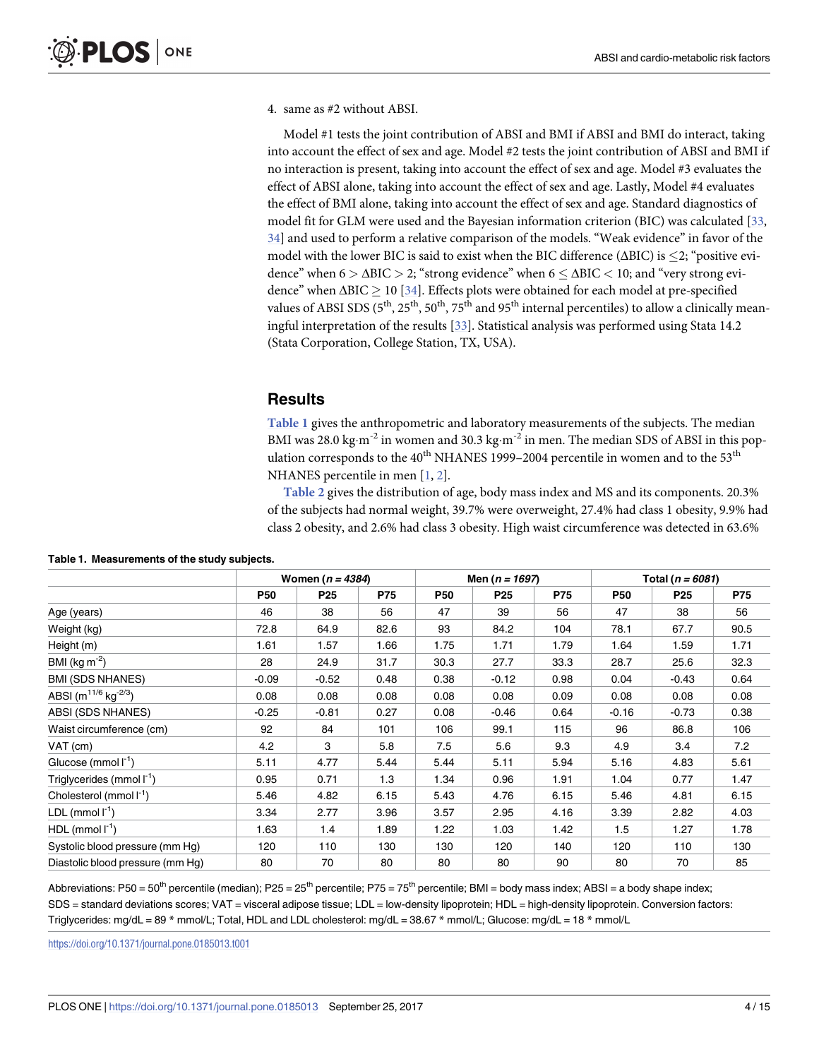#### <span id="page-3-0"></span>4. same as #2 without ABSI.

Model #1 tests the joint contribution of ABSI and BMI if ABSI and BMI do interact, taking into account the effect of sex and age. Model #2 tests the joint contribution of ABSI and BMI if no interaction is present, taking into account the effect of sex and age. Model #3 evaluates the effect of ABSI alone, taking into account the effect of sex and age. Lastly, Model #4 evaluates the effect of BMI alone, taking into account the effect of sex and age. Standard diagnostics of model fit for GLM were used and the Bayesian information criterion (BIC) was calculated [[33](#page-14-0), [34\]](#page-14-0) and used to perform a relative comparison of the models. "Weak evidence" in favor of the model with the lower BIC is said to exist when the BIC difference ( $\Delta BIC$ ) is  $\leq$ 2; "positive evidence" when 6 *>* ΔBIC *>* 2; "strong evidence" when 6 ΔBIC *<* 10; and "very strong evidence" when  $\Delta\text{BIC} \ge 10$  [[34](#page-14-0)]. Effects plots were obtained for each model at pre-specified values of ABSI SDS  $(5^{th}, 25^{th}, 50^{th}, 75^{th}$  and 95<sup>th</sup> internal percentiles) to allow a clinically meaningful interpretation of the results [[33](#page-14-0)]. Statistical analysis was performed using Stata 14.2 (Stata Corporation, College Station, TX, USA).

## **Results**

**Table 1** gives the anthropometric and laboratory measurements of the subjects. The median BMI was 28.0 kg·m<sup>-2</sup> in women and 30.3 kg·m<sup>-2</sup> in men. The median SDS of ABSI in this population corresponds to the  $40^{th}$  NHANES 1999–2004 percentile in women and to the  $53^{th}$ NHANES percentile in men [\[1](#page-12-0), [2](#page-12-0)].

**[Table](#page-4-0) 2** gives the distribution of age, body mass index and MS and its components. 20.3% of the subjects had normal weight, 39.7% were overweight, 27.4% had class 1 obesity, 9.9% had class 2 obesity, and 2.6% had class 3 obesity. High waist circumference was detected in 63.6%

|                                                |            | Women ( $n = 4384$ ) |            |            | Men $(n = 1697)$ |      | Total ( $n = 6081$ ) |                 |            |
|------------------------------------------------|------------|----------------------|------------|------------|------------------|------|----------------------|-----------------|------------|
|                                                | <b>P50</b> | P <sub>25</sub>      | <b>P75</b> | <b>P50</b> | P <sub>25</sub>  | P75  | <b>P50</b>           | P <sub>25</sub> | <b>P75</b> |
| Age (years)                                    | 46         | 38                   | 56         | 47         | 39               | 56   | 47                   | 38              | 56         |
| Weight (kg)                                    | 72.8       | 64.9                 | 82.6       | 93         | 84.2             | 104  | 78.1                 | 67.7            | 90.5       |
| Height (m)                                     | 1.61       | 1.57                 | 1.66       | 1.75       | 1.71             | 1.79 | 1.64                 | 1.59            | 1.71       |
| BMI (kg $m^{-2}$ )                             | 28         | 24.9                 | 31.7       | 30.3       | 27.7             | 33.3 | 28.7                 | 25.6            | 32.3       |
| <b>BMI (SDS NHANES)</b>                        | $-0.09$    | $-0.52$              | 0.48       | 0.38       | $-0.12$          | 0.98 | 0.04                 | $-0.43$         | 0.64       |
| ABSI (m <sup>11/6</sup> kg <sup>-2/3</sup> )   | 0.08       | 0.08                 | 0.08       | 0.08       | 0.08             | 0.09 | 0.08                 | 0.08            | 0.08       |
| ABSI (SDS NHANES)                              | $-0.25$    | $-0.81$              | 0.27       | 0.08       | $-0.46$          | 0.64 | $-0.16$              | $-0.73$         | 0.38       |
| Waist circumference (cm)                       | 92         | 84                   | 101        | 106        | 99.1             | 115  | 96                   | 86.8            | 106        |
| VAT (cm)                                       | 4.2        | 3                    | 5.8        | 7.5        | 5.6              | 9.3  | 4.9                  | 3.4             | 7.2        |
| Glucose (mmol $\mathsf{I}^{\text{-1}}$ )       | 5.11       | 4.77                 | 5.44       | 5.44       | 5.11             | 5.94 | 5.16                 | 4.83            | 5.61       |
| Triglycerides (mmol $\mathsf{I}^{\text{-1}}$ ) | 0.95       | 0.71                 | 1.3        | 1.34       | 0.96             | 1.91 | 1.04                 | 0.77            | 1.47       |
| Cholesterol (mmol $I^{-1}$ )                   | 5.46       | 4.82                 | 6.15       | 5.43       | 4.76             | 6.15 | 5.46                 | 4.81            | 6.15       |
| LDL (mmol $\mathsf{I}^1$ )                     | 3.34       | 2.77                 | 3.96       | 3.57       | 2.95             | 4.16 | 3.39                 | 2.82            | 4.03       |
| HDL (mmol $\mathsf{I}^{-1}$ )                  | 1.63       | 1.4                  | 1.89       | 1.22       | 1.03             | 1.42 | 1.5                  | 1.27            | 1.78       |
| Systolic blood pressure (mm Hg)                | 120        | 110                  | 130        | 130        | 120              | 140  | 120                  | 110             | 130        |
| Diastolic blood pressure (mm Hg)               | 80         | 70                   | 80         | 80         | 80               | 90   | 80                   | 70              | 85         |

|  | Table 1. Measurements of the study subjects. |  |  |
|--|----------------------------------------------|--|--|
|--|----------------------------------------------|--|--|

Abbreviations: P50 = 50<sup>th</sup> percentile (median); P25 = 25<sup>th</sup> percentile; P75 = 75<sup>th</sup> percentile; BMI = body mass index; ABSI = a body shape index; SDS = standard deviations scores; VAT = visceral adipose tissue; LDL = low-density lipoprotein; HDL = high-density lipoprotein. Conversion factors: Triglycerides: mg/dL = 89 \* mmol/L; Total, HDL and LDL cholesterol: mg/dL = 38.67 \* mmol/L; Glucose: mg/dL = 18 \* mmol/L

<https://doi.org/10.1371/journal.pone.0185013.t001>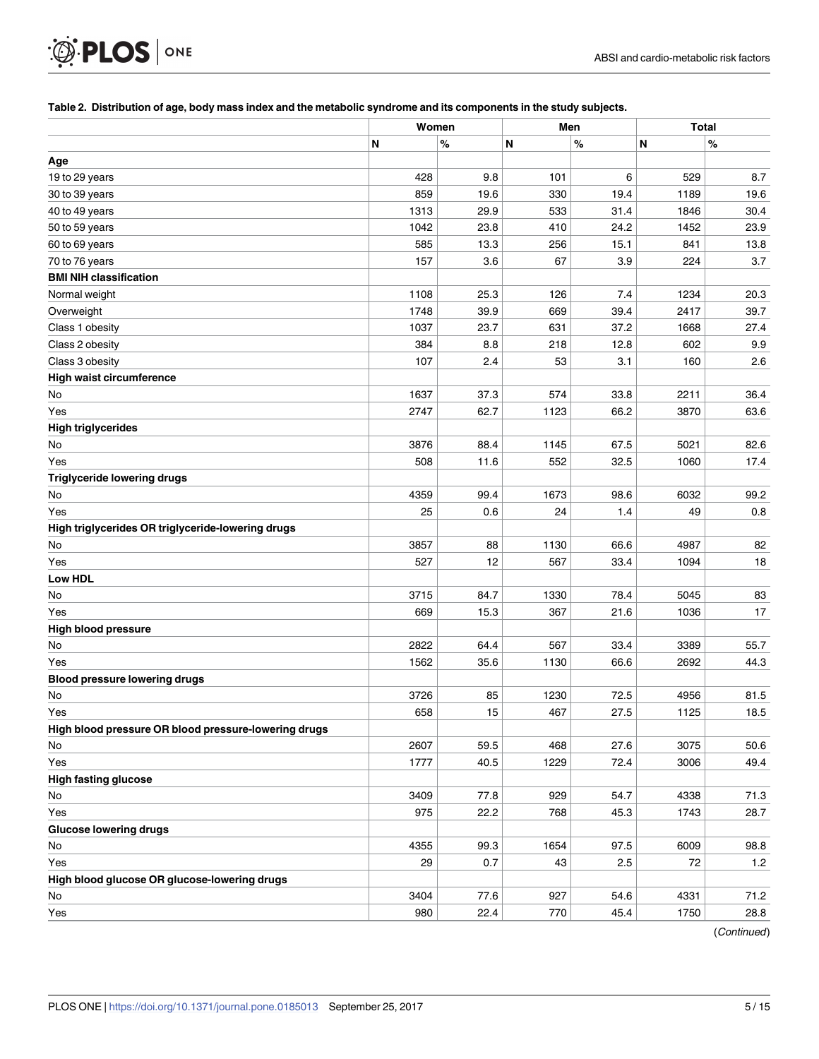<span id="page-4-0"></span>

#### [Table](#page-3-0) 2. Distribution of age, body mass index and the metabolic syndrome and its components in the study subjects.

|                                                      | Women |      | Men  |      | <b>Total</b> |      |
|------------------------------------------------------|-------|------|------|------|--------------|------|
|                                                      | N     | $\%$ | Ν    | $\%$ | N            | $\%$ |
| Age                                                  |       |      |      |      |              |      |
| 19 to 29 years                                       | 428   | 9.8  | 101  | 6    | 529          | 8.7  |
| 30 to 39 years                                       | 859   | 19.6 | 330  | 19.4 | 1189         | 19.6 |
| 40 to 49 years                                       | 1313  | 29.9 | 533  | 31.4 | 1846         | 30.4 |
| 50 to 59 years                                       | 1042  | 23.8 | 410  | 24.2 | 1452         | 23.9 |
| 60 to 69 years                                       | 585   | 13.3 | 256  | 15.1 | 841          | 13.8 |
| 70 to 76 years                                       | 157   | 3.6  | 67   | 3.9  | 224          | 3.7  |
| <b>BMI NIH classification</b>                        |       |      |      |      |              |      |
| Normal weight                                        | 1108  | 25.3 | 126  | 7.4  | 1234         | 20.3 |
| Overweight                                           | 1748  | 39.9 | 669  | 39.4 | 2417         | 39.7 |
| Class 1 obesity                                      | 1037  | 23.7 | 631  | 37.2 | 1668         | 27.4 |
| Class 2 obesity                                      | 384   | 8.8  | 218  | 12.8 | 602          | 9.9  |
| Class 3 obesity                                      | 107   | 2.4  | 53   | 3.1  | 160          | 2.6  |
| High waist circumference                             |       |      |      |      |              |      |
| No                                                   | 1637  | 37.3 | 574  | 33.8 | 2211         | 36.4 |
| Yes                                                  | 2747  | 62.7 | 1123 | 66.2 | 3870         | 63.6 |
| <b>High triglycerides</b>                            |       |      |      |      |              |      |
| No                                                   | 3876  | 88.4 | 1145 | 67.5 | 5021         | 82.6 |
| Yes                                                  | 508   | 11.6 | 552  | 32.5 | 1060         | 17.4 |
| <b>Triglyceride lowering drugs</b>                   |       |      |      |      |              |      |
| No                                                   | 4359  | 99.4 | 1673 | 98.6 | 6032         | 99.2 |
| Yes                                                  | 25    | 0.6  | 24   | 1.4  | 49           | 0.8  |
| High triglycerides OR triglyceride-lowering drugs    |       |      |      |      |              |      |
| No                                                   | 3857  | 88   | 1130 | 66.6 | 4987         | 82   |
| Yes                                                  | 527   | 12   | 567  | 33.4 | 1094         | $18$ |
| <b>Low HDL</b>                                       |       |      |      |      |              |      |
| No                                                   | 3715  | 84.7 | 1330 | 78.4 | 5045         | 83   |
| Yes                                                  | 669   | 15.3 | 367  | 21.6 | 1036         | 17   |
| <b>High blood pressure</b>                           |       |      |      |      |              |      |
| No                                                   | 2822  | 64.4 | 567  | 33.4 | 3389         | 55.7 |
| Yes                                                  | 1562  | 35.6 | 1130 | 66.6 | 2692         | 44.3 |
| <b>Blood pressure lowering drugs</b>                 |       |      |      |      |              |      |
| No                                                   | 3726  | 85   | 1230 | 72.5 | 4956         | 81.5 |
| Yes                                                  | 658   | 15   | 467  | 27.5 | 1125         | 18.5 |
| High blood pressure OR blood pressure-lowering drugs |       |      |      |      |              |      |
| No                                                   | 2607  | 59.5 | 468  | 27.6 | 3075         | 50.6 |
| Yes                                                  | 1777  | 40.5 | 1229 | 72.4 | 3006         | 49.4 |
| <b>High fasting glucose</b>                          |       |      |      |      |              |      |
| No                                                   | 3409  | 77.8 | 929  | 54.7 | 4338         | 71.3 |
| Yes                                                  | 975   | 22.2 | 768  | 45.3 | 1743         | 28.7 |
| <b>Glucose lowering drugs</b>                        |       |      |      |      |              |      |
| No                                                   | 4355  | 99.3 | 1654 | 97.5 | 6009         | 98.8 |
| Yes                                                  | 29    | 0.7  | 43   | 2.5  | 72           | 1.2  |
| High blood glucose OR glucose-lowering drugs         |       |      |      |      |              |      |
| No                                                   | 3404  | 77.6 | 927  | 54.6 | 4331         | 71.2 |
| Yes                                                  | 980   | 22.4 | 770  | 45.4 | 1750         | 28.8 |

(Continued)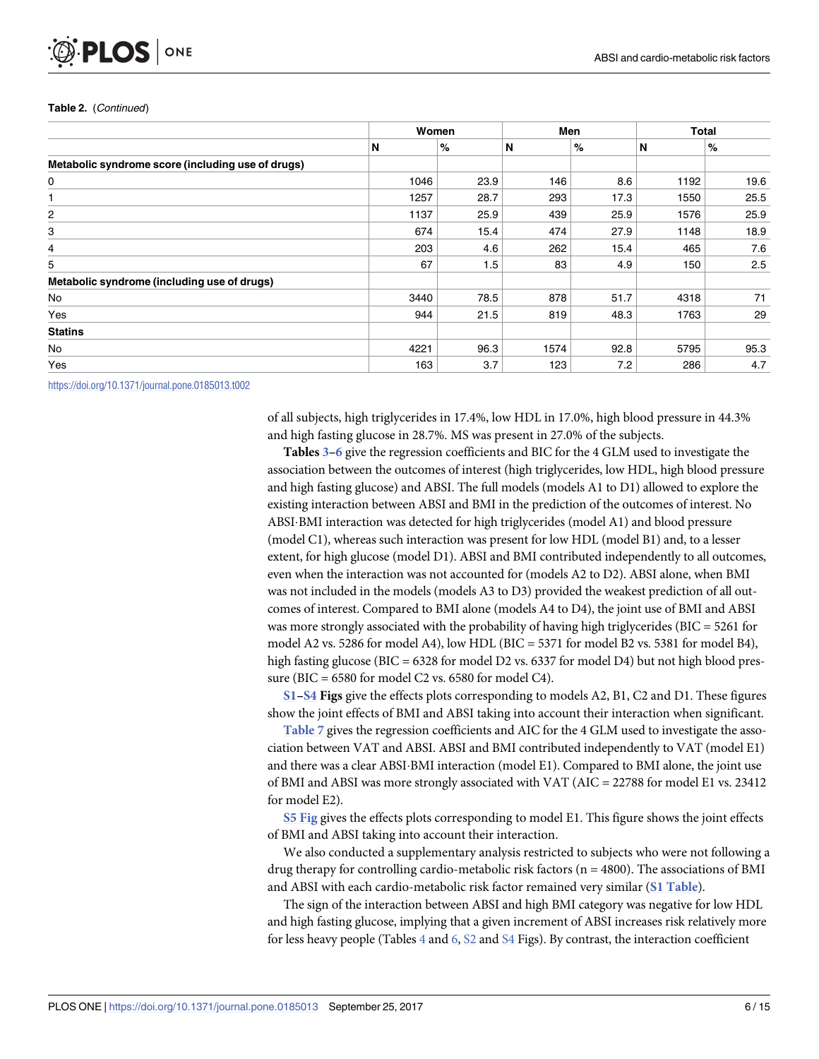# <span id="page-5-0"></span>ONE

#### **Table 2.** (Continued)

|                                                   | Women |      | Men  |      | <b>Total</b> |      |
|---------------------------------------------------|-------|------|------|------|--------------|------|
|                                                   | N     | %    | N    | %    | N            | $\%$ |
| Metabolic syndrome score (including use of drugs) |       |      |      |      |              |      |
| 0                                                 | 1046  | 23.9 | 146  | 8.6  | 1192         | 19.6 |
|                                                   | 1257  | 28.7 | 293  | 17.3 | 1550         | 25.5 |
| 2                                                 | 1137  | 25.9 | 439  | 25.9 | 1576         | 25.9 |
| 3                                                 | 674   | 15.4 | 474  | 27.9 | 1148         | 18.9 |
| 4                                                 | 203   | 4.6  | 262  | 15.4 | 465          | 7.6  |
| 5                                                 | 67    | 1.5  | 83   | 4.9  | 150          | 2.5  |
| Metabolic syndrome (including use of drugs)       |       |      |      |      |              |      |
| No                                                | 3440  | 78.5 | 878  | 51.7 | 4318         | 71   |
| Yes                                               | 944   | 21.5 | 819  | 48.3 | 1763         | 29   |
| <b>Statins</b>                                    |       |      |      |      |              |      |
| <b>No</b>                                         | 4221  | 96.3 | 1574 | 92.8 | 5795         | 95.3 |
| Yes                                               | 163   | 3.7  | 123  | 7.2  | 286          | 4.7  |

<https://doi.org/10.1371/journal.pone.0185013.t002>

of all subjects, high triglycerides in 17.4%, low HDL in 17.0%, high blood pressure in 44.3% and high fasting glucose in 28.7%. MS was present in 27.0% of the subjects.

**Tables [3](#page-6-0)[–6](#page-9-0)** give the regression coefficients and BIC for the 4 GLM used to investigate the association between the outcomes of interest (high triglycerides, low HDL, high blood pressure and high fasting glucose) and ABSI. The full models (models A1 to D1) allowed to explore the existing interaction between ABSI and BMI in the prediction of the outcomes of interest. No ABSI BMI interaction was detected for high triglycerides (model A1) and blood pressure (model C1), whereas such interaction was present for low HDL (model B1) and, to a lesser extent, for high glucose (model D1). ABSI and BMI contributed independently to all outcomes, even when the interaction was not accounted for (models A2 to D2). ABSI alone, when BMI was not included in the models (models A3 to D3) provided the weakest prediction of all outcomes of interest. Compared to BMI alone (models A4 to D4), the joint use of BMI and ABSI was more strongly associated with the probability of having high triglycerides (BIC = 5261 for model A2 vs. 5286 for model A4), low HDL (BIC = 5371 for model B2 vs. 5381 for model B4), high fasting glucose (BIC = 6328 for model D2 vs. 6337 for model D4) but not high blood pressure (BIC =  $6580$  for model C2 vs.  $6580$  for model C4).

**[S1–](#page-11-0)[S4](#page-12-0) Figs** give the effects plots corresponding to models A2, B1, C2 and D1. These figures show the joint effects of BMI and ABSI taking into account their interaction when significant.

**[Table](#page-10-0) 7** gives the regression coefficients and AIC for the 4 GLM used to investigate the association between VAT and ABSI. ABSI and BMI contributed independently to VAT (model E1) and there was a clear ABSI-BMI interaction (model E1). Compared to BMI alone, the joint use of BMI and ABSI was more strongly associated with VAT (AIC = 22788 for model E1 vs. 23412 for model E2).

**S5 [Fig](#page-12-0)** gives the effects plots corresponding to model E1. This figure shows the joint effects of BMI and ABSI taking into account their interaction.

We also conducted a supplementary analysis restricted to subjects who were not following a drug therapy for controlling cardio-metabolic risk factors ( $n = 4800$ ). The associations of BMI and ABSI with each cardio-metabolic risk factor remained very similar (**S1 [Table](#page-12-0)**).

The sign of the interaction between ABSI and high BMI category was negative for low HDL and high fasting glucose, implying that a given increment of ABSI increases risk relatively more for less heavy people (Tables [4](#page-7-0) and [6](#page-9-0), [S2](#page-11-0) and [S4](#page-12-0) Figs). By contrast, the interaction coefficient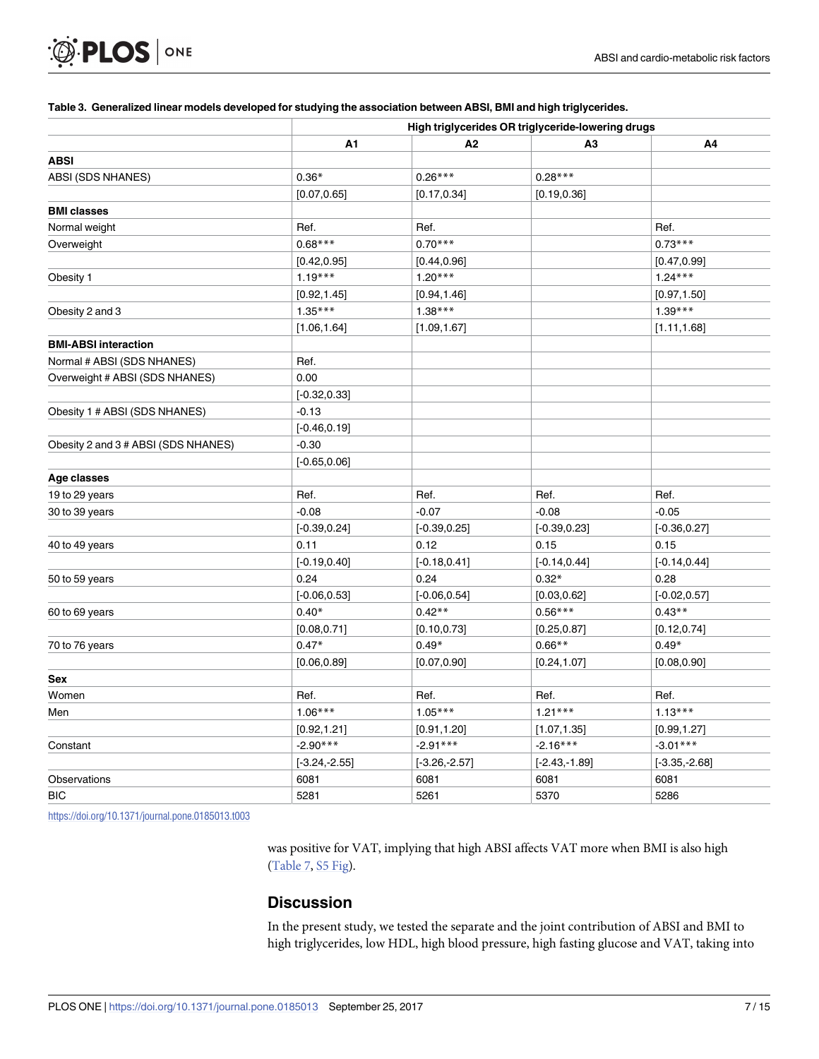# <span id="page-6-0"></span>ONE **PLOS**

#### [Table](#page-5-0) 3. Generalized linear models developed for studying the association between ABSI, BMI and high triglycerides.

|                                     |                  | High triglycerides OR triglyceride-lowering drugs |                  |                  |  |  |  |  |
|-------------------------------------|------------------|---------------------------------------------------|------------------|------------------|--|--|--|--|
|                                     | A1               | А2                                                | A3               | A4               |  |  |  |  |
| <b>ABSI</b>                         |                  |                                                   |                  |                  |  |  |  |  |
| ABSI (SDS NHANES)                   | $0.36*$          | $0.26***$                                         | $0.28***$        |                  |  |  |  |  |
|                                     | [0.07, 0.65]     | [0.17, 0.34]                                      | [0.19, 0.36]     |                  |  |  |  |  |
| <b>BMI classes</b>                  |                  |                                                   |                  |                  |  |  |  |  |
| Normal weight                       | Ref.             | Ref.                                              |                  | Ref.             |  |  |  |  |
| Overweight                          | $0.68***$        | $0.70***$                                         |                  | $0.73***$        |  |  |  |  |
|                                     | [0.42, 0.95]     | [0.44, 0.96]                                      |                  | [0.47, 0.99]     |  |  |  |  |
| Obesity 1                           | $1.19***$        | $1.20***$                                         |                  | $1.24***$        |  |  |  |  |
|                                     | [0.92, 1.45]     | [0.94, 1.46]                                      |                  | [0.97, 1.50]     |  |  |  |  |
| Obesity 2 and 3                     | $1.35***$        | $1.38***$                                         |                  | $1.39***$        |  |  |  |  |
|                                     | [1.06, 1.64]     | [1.09, 1.67]                                      |                  | [1.11, 1.68]     |  |  |  |  |
| <b>BMI-ABSI interaction</b>         |                  |                                                   |                  |                  |  |  |  |  |
| Normal # ABSI (SDS NHANES)          | Ref.             |                                                   |                  |                  |  |  |  |  |
| Overweight # ABSI (SDS NHANES)      | 0.00             |                                                   |                  |                  |  |  |  |  |
|                                     | $[-0.32, 0.33]$  |                                                   |                  |                  |  |  |  |  |
| Obesity 1 # ABSI (SDS NHANES)       | $-0.13$          |                                                   |                  |                  |  |  |  |  |
|                                     | $[-0.46, 0.19]$  |                                                   |                  |                  |  |  |  |  |
| Obesity 2 and 3 # ABSI (SDS NHANES) | $-0.30$          |                                                   |                  |                  |  |  |  |  |
|                                     | $[-0.65, 0.06]$  |                                                   |                  |                  |  |  |  |  |
| Age classes                         |                  |                                                   |                  |                  |  |  |  |  |
| 19 to 29 years                      | Ref.             | Ref.                                              | Ref.             | Ref.             |  |  |  |  |
| 30 to 39 years                      | $-0.08$          | $-0.07$                                           | $-0.08$          | $-0.05$          |  |  |  |  |
|                                     | $[-0.39, 0.24]$  | $[-0.39, 0.25]$                                   | $[-0.39, 0.23]$  | $[-0.36, 0.27]$  |  |  |  |  |
| 40 to 49 years                      | 0.11             | 0.12                                              | 0.15             | 0.15             |  |  |  |  |
|                                     | $[-0.19, 0.40]$  | $[-0.18, 0.41]$                                   | $[-0.14, 0.44]$  | $[-0.14, 0.44]$  |  |  |  |  |
| 50 to 59 years                      | 0.24             | 0.24                                              | $0.32*$          | 0.28             |  |  |  |  |
|                                     | $[-0.06, 0.53]$  | $[-0.06, 0.54]$                                   | [0.03, 0.62]     | $[-0.02, 0.57]$  |  |  |  |  |
| 60 to 69 years                      | $0.40*$          | $0.42**$                                          | $0.56***$        | $0.43**$         |  |  |  |  |
|                                     | [0.08, 0.71]     | [0.10, 0.73]                                      | [0.25, 0.87]     | [0.12, 0.74]     |  |  |  |  |
| 70 to 76 years                      | $0.47*$          | $0.49*$                                           | $0.66**$         | $0.49*$          |  |  |  |  |
|                                     | [0.06, 0.89]     | [0.07, 0.90]                                      | [0.24, 1.07]     | [0.08, 0.90]     |  |  |  |  |
| Sex                                 |                  |                                                   |                  |                  |  |  |  |  |
| Women                               | Ref.             | Ref.                                              | Ref.             | Ref.             |  |  |  |  |
| Men                                 | $1.06***$        | $1.05***$                                         | $1.21***$        | $1.13***$        |  |  |  |  |
|                                     | [0.92, 1.21]     | [0.91, 1.20]                                      | [1.07, 1.35]     | [0.99, 1.27]     |  |  |  |  |
| Constant                            | $-2.90***$       | $-2.91***$                                        | $-2.16***$       | $-3.01***$       |  |  |  |  |
|                                     | $[-3.24, -2.55]$ | $[-3.26,-2.57]$                                   | $[-2.43, -1.89]$ | $[-3.35, -2.68]$ |  |  |  |  |
| Observations                        | 6081             | 6081                                              | 6081             | 6081             |  |  |  |  |
| <b>BIC</b>                          | 5281             | 5261                                              | 5370             | 5286             |  |  |  |  |
|                                     |                  |                                                   |                  |                  |  |  |  |  |

<https://doi.org/10.1371/journal.pone.0185013.t003>

was positive for VAT, implying that high ABSI affects VAT more when BMI is also high [\(Table](#page-10-0) 7, S5 [Fig\)](#page-12-0).

# **Discussion**

In the present study, we tested the separate and the joint contribution of ABSI and BMI to high triglycerides, low HDL, high blood pressure, high fasting glucose and VAT, taking into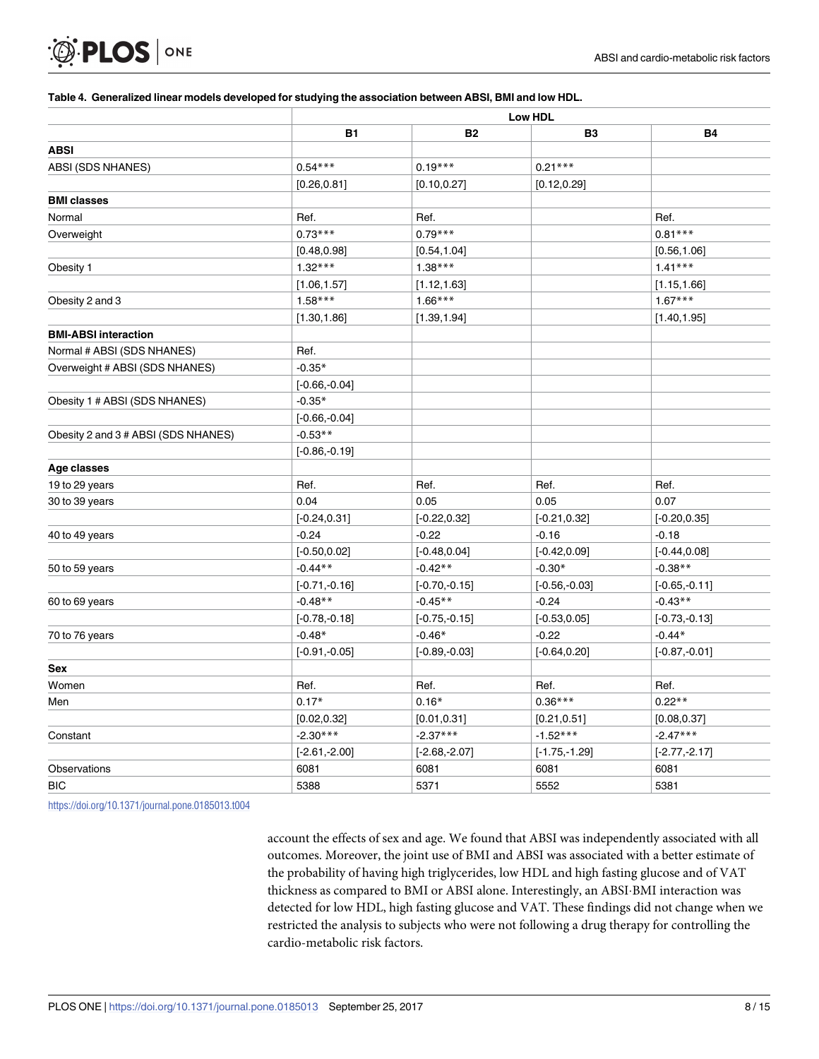#### <span id="page-7-0"></span>**[Table](#page-5-0) 4. Generalized linear models developed for studying the association between ABSI, BMI and low HDL.**

| <b>Low HDL</b>   |                  |                  |                  |  |  |  |
|------------------|------------------|------------------|------------------|--|--|--|
| <b>B1</b>        | <b>B2</b>        | <b>B3</b>        | <b>B4</b>        |  |  |  |
|                  |                  |                  |                  |  |  |  |
| $0.54***$        | $0.19***$        | $0.21***$        |                  |  |  |  |
| [0.26, 0.81]     | [0.10, 0.27]     | [0.12, 0.29]     |                  |  |  |  |
|                  |                  |                  |                  |  |  |  |
| Ref.             | Ref.             |                  | Ref.             |  |  |  |
| $0.73***$        | $0.79***$        |                  | $0.81***$        |  |  |  |
| [0.48, 0.98]     | [0.54, 1.04]     |                  | [0.56, 1.06]     |  |  |  |
| $1.32***$        | $1.38***$        |                  | $1.41***$        |  |  |  |
| [1.06, 1.57]     | [1.12, 1.63]     |                  | [1.15, 1.66]     |  |  |  |
| $1.58***$        | $1.66***$        |                  | $1.67***$        |  |  |  |
| [1.30, 1.86]     | [1.39, 1.94]     |                  | [1.40, 1.95]     |  |  |  |
|                  |                  |                  |                  |  |  |  |
| Ref.             |                  |                  |                  |  |  |  |
| $-0.35*$         |                  |                  |                  |  |  |  |
| $[-0.66, 0.04]$  |                  |                  |                  |  |  |  |
| $-0.35*$         |                  |                  |                  |  |  |  |
| $[-0.66, 0.04]$  |                  |                  |                  |  |  |  |
| $-0.53**$        |                  |                  |                  |  |  |  |
| $[-0.86, 0.19]$  |                  |                  |                  |  |  |  |
|                  |                  |                  |                  |  |  |  |
| Ref.             | Ref.             | Ref.             | Ref.             |  |  |  |
| 0.04             | 0.05             | 0.05             | 0.07             |  |  |  |
| $[-0.24, 0.31]$  | $[-0.22, 0.32]$  | $[-0.21, 0.32]$  | $[-0.20, 0.35]$  |  |  |  |
| $-0.24$          | $-0.22$          | $-0.16$          | $-0.18$          |  |  |  |
| $[-0.50, 0.02]$  | $[-0.48, 0.04]$  | $[-0.42, 0.09]$  | $[-0.44, 0.08]$  |  |  |  |
| $-0.44**$        | $-0.42**$        | $-0.30*$         | $-0.38**$        |  |  |  |
| $[-0.71,-0.16]$  | $[-0.70, -0.15]$ | $[-0.56, -0.03]$ | $[-0.65, -0.11]$ |  |  |  |
| $-0.48**$        | $-0.45**$        | $-0.24$          | $-0.43**$        |  |  |  |
| $[-0.78, 0.18]$  | $[-0.75, -0.15]$ | $[-0.53, 0.05]$  | $[-0.73, 0.13]$  |  |  |  |
| $-0.48*$         | $-0.46*$         | $-0.22$          | $-0.44*$         |  |  |  |
| $[-0.91, -0.05]$ | $[-0.89,-0.03]$  | $[-0.64, 0.20]$  | $[-0.87, -0.01]$ |  |  |  |
|                  |                  |                  |                  |  |  |  |
| Ref.             | Ref.             | Ref.             | Ref.             |  |  |  |
| $0.17*$          | $0.16*$          | $0.36***$        | $0.22**$         |  |  |  |
| [0.02, 0.32]     | [0.01, 0.31]     | [0.21, 0.51]     | [0.08, 0.37]     |  |  |  |
| $-2.30***$       | $-2.37***$       | $-1.52***$       | $-2.47***$       |  |  |  |
| $[-2.61, -2.00]$ | $[-2.68,-2.07]$  | $[-1.75, -1.29]$ | $[-2.77, -2.17]$ |  |  |  |
| 6081             | 6081             | 6081             | 6081             |  |  |  |
| 5388             | 5371             | 5552             | 5381             |  |  |  |
|                  |                  |                  |                  |  |  |  |

<https://doi.org/10.1371/journal.pone.0185013.t004>

account the effects of sex and age. We found that ABSI was independently associated with all outcomes. Moreover, the joint use of BMI and ABSI was associated with a better estimate of the probability of having high triglycerides, low HDL and high fasting glucose and of VAT thickness as compared to BMI or ABSI alone. Interestingly, an ABSI BMI interaction was detected for low HDL, high fasting glucose and VAT. These findings did not change when we restricted the analysis to subjects who were not following a drug therapy for controlling the cardio-metabolic risk factors.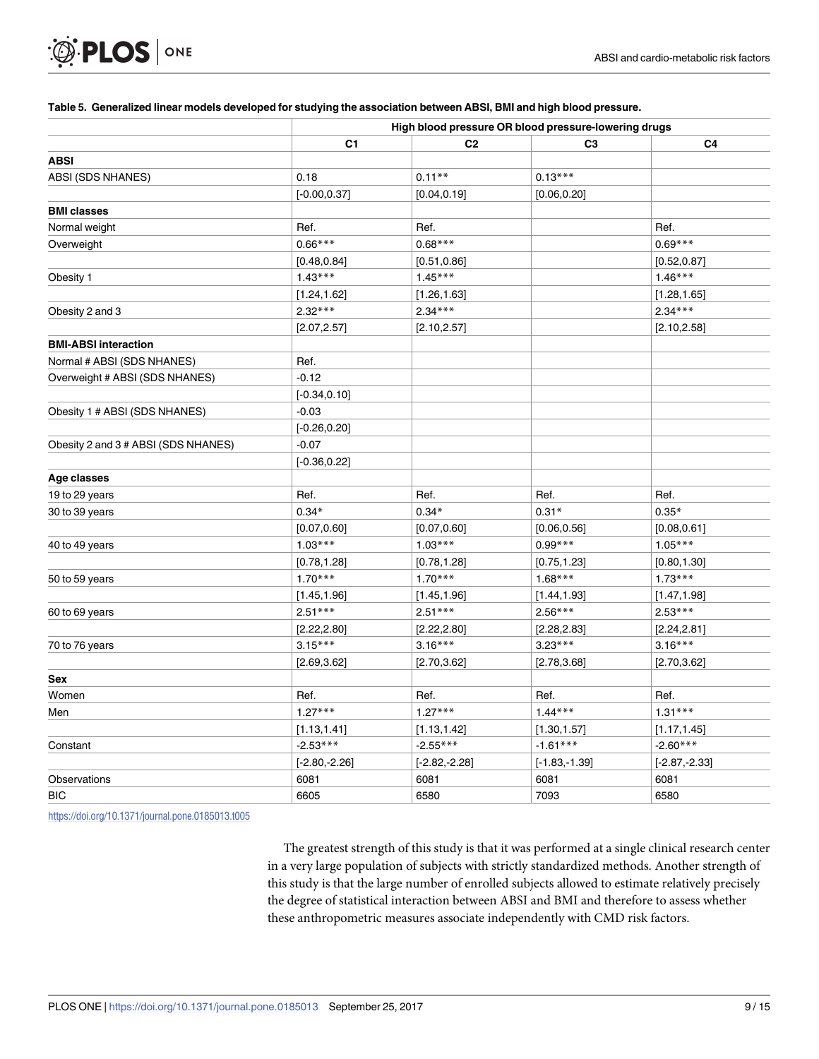# PLOS ONE

#### Table 5. Generalized linear models developed for studying the association between ABSI, BMI and high blood pressure.

| High blood pressure OR blood pressure-lowering drugs |                                                                                               |                                                      |                  |  |  |  |
|------------------------------------------------------|-----------------------------------------------------------------------------------------------|------------------------------------------------------|------------------|--|--|--|
| C <sub>1</sub>                                       | C <sub>2</sub>                                                                                | C <sub>3</sub>                                       | C4               |  |  |  |
|                                                      |                                                                                               |                                                      |                  |  |  |  |
| 0.18                                                 | $0.11**$                                                                                      | $0.13***$                                            |                  |  |  |  |
| $[-0.00, 0.37]$                                      | [0.04, 0.19]                                                                                  | [0.06, 0.20]                                         |                  |  |  |  |
|                                                      |                                                                                               |                                                      |                  |  |  |  |
| Ref.                                                 | Ref.                                                                                          |                                                      | Ref.             |  |  |  |
| $0.66***$                                            | $0.68***$                                                                                     |                                                      | $0.69***$        |  |  |  |
| [0.48, 0.84]                                         | [0.51, 0.86]                                                                                  |                                                      | [0.52, 0.87]     |  |  |  |
| $1.43***$                                            | $1.45***$                                                                                     |                                                      | $1.46***$        |  |  |  |
|                                                      |                                                                                               |                                                      | [1.28, 1.65]     |  |  |  |
| $2.32***$                                            | $2.34***$                                                                                     |                                                      | $2.34***$        |  |  |  |
|                                                      |                                                                                               |                                                      | [2.10, 2.58]     |  |  |  |
|                                                      |                                                                                               |                                                      |                  |  |  |  |
| Ref.                                                 |                                                                                               |                                                      |                  |  |  |  |
| $-0.12$                                              |                                                                                               |                                                      |                  |  |  |  |
|                                                      |                                                                                               |                                                      |                  |  |  |  |
|                                                      |                                                                                               |                                                      |                  |  |  |  |
|                                                      |                                                                                               |                                                      |                  |  |  |  |
| $-0.07$                                              |                                                                                               |                                                      |                  |  |  |  |
| $[-0.36, 0.22]$                                      |                                                                                               |                                                      |                  |  |  |  |
|                                                      |                                                                                               |                                                      |                  |  |  |  |
| Ref.                                                 |                                                                                               | Ref.                                                 | Ref.             |  |  |  |
| $0.34*$                                              | $0.34*$                                                                                       | $0.31*$                                              | $0.35*$          |  |  |  |
| [0.07, 0.60]                                         | [0.07, 0.60]                                                                                  | [0.06, 0.56]                                         | [0.08, 0.61]     |  |  |  |
| $1.03***$                                            | $1.03***$                                                                                     | $0.99***$                                            | $1.05***$        |  |  |  |
| [0.78, 1.28]                                         | [0.78, 1.28]                                                                                  | [0.75, 1.23]                                         | [0.80, 1.30]     |  |  |  |
| $1.70***$                                            | $1.70***$                                                                                     | $1.68***$                                            | $1.73***$        |  |  |  |
| [1.45, 1.96]                                         | [1.45, 1.96]                                                                                  | [1.44, 1.93]                                         | [1.47, 1.98]     |  |  |  |
| $2.51***$                                            | $2.51***$                                                                                     | $2.56***$                                            | $2.53***$        |  |  |  |
| [2.22, 2.80]                                         | [2.22, 2.80]                                                                                  | [2.28, 2.83]                                         | [2.24, 2.81]     |  |  |  |
| $3.15***$                                            | $3.16***$                                                                                     | $3.23***$                                            | $3.16***$        |  |  |  |
| [2.69, 3.62]                                         | [2.70, 3.62]                                                                                  | [2.78, 3.68]                                         | [2.70, 3.62]     |  |  |  |
|                                                      |                                                                                               |                                                      |                  |  |  |  |
| Ref.                                                 | Ref.                                                                                          | Ref.                                                 | Ref.             |  |  |  |
| $1.27***$                                            | $1.27***$                                                                                     | $1.44***$                                            | $1.31***$        |  |  |  |
|                                                      |                                                                                               |                                                      | [1.17, 1.45]     |  |  |  |
| $-2.53***$                                           | $-2.55***$                                                                                    | $-1.61***$                                           | $-2.60***$       |  |  |  |
| $[-2.80, -2.26]$                                     | $[-2.82,-2.28]$                                                                               | $[-1.83, -1.39]$                                     | $[-2.87, -2.33]$ |  |  |  |
| 6081                                                 | 6081                                                                                          | 6081                                                 | 6081             |  |  |  |
| 6605                                                 | 6580                                                                                          | 7093                                                 | 6580             |  |  |  |
|                                                      | [1.24, 1.62]<br>[2.07, 2.57]<br>$[-0.34, 0.10]$<br>$-0.03$<br>$[-0.26, 0.20]$<br>[1.13, 1.41] | [1.26, 1.63]<br>[2.10, 2.57]<br>Ref.<br>[1.13, 1.42] | [1.30, 1.57]     |  |  |  |

<https://doi.org/10.1371/journal.pone.0185013.t005>

The greatest strength of this study is that it was performed at a single clinical research center in a very large population of subjects with strictly standardized methods. Another strength of this study is that the large number of enrolled subjects allowed to estimate relatively precisely the degree of statistical interaction between ABSI and BMI and therefore to assess whether these anthropometric measures associate independently with CMD risk factors.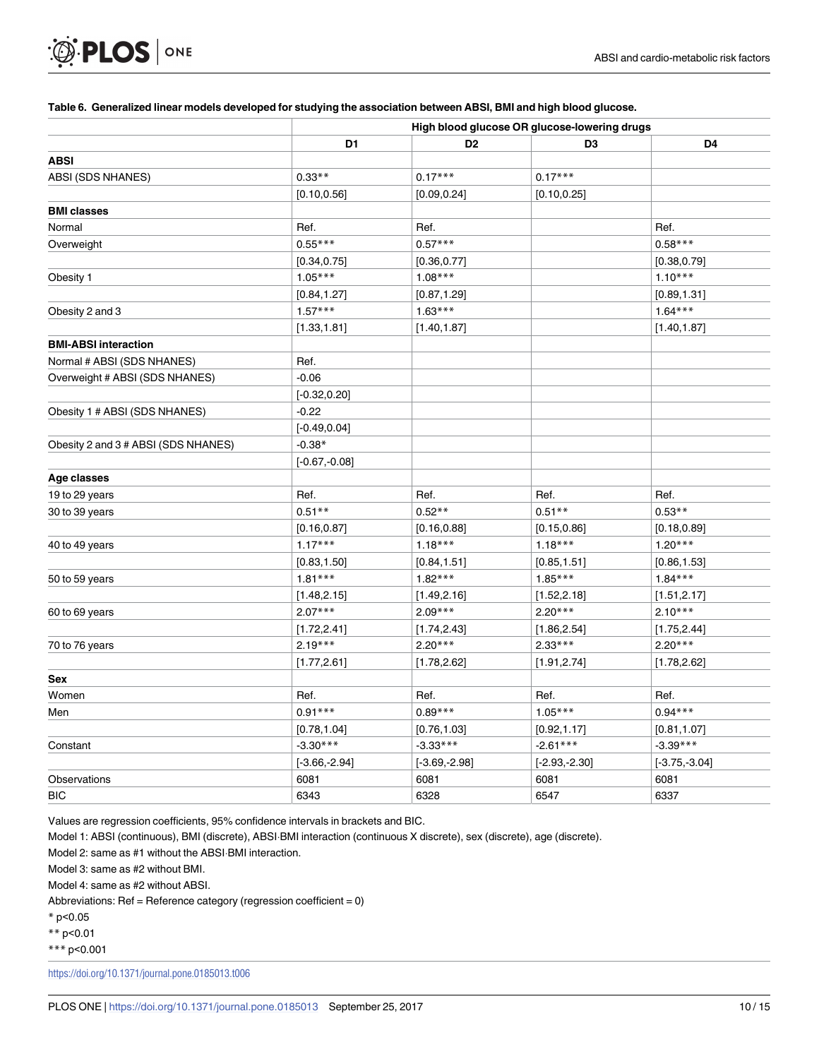#### [Table](#page-5-0) 6. Generalized linear models developed for studying the association between ABSI, BMI and high blood glucose.

| High blood glucose OR glucose-lowering drugs |                 |                  |                  |  |  |  |
|----------------------------------------------|-----------------|------------------|------------------|--|--|--|
| D <sub>1</sub>                               | D <sub>2</sub>  | D3               | D <sub>4</sub>   |  |  |  |
|                                              |                 |                  |                  |  |  |  |
| $0.33**$                                     | $0.17***$       | $0.17***$        |                  |  |  |  |
| [0.10, 0.56]                                 | [0.09, 0.24]    | [0.10, 0.25]     |                  |  |  |  |
|                                              |                 |                  |                  |  |  |  |
| Ref.                                         | Ref.            |                  | Ref.             |  |  |  |
| $0.55***$                                    | $0.57***$       |                  | $0.58***$        |  |  |  |
| [0.34, 0.75]                                 | [0.36, 0.77]    |                  | [0.38, 0.79]     |  |  |  |
| $1.05***$                                    | $1.08***$       |                  | $1.10***$        |  |  |  |
| [0.84, 1.27]                                 | [0.87, 1.29]    |                  | [0.89, 1.31]     |  |  |  |
| $1.57***$                                    | $1.63***$       |                  | $1.64***$        |  |  |  |
| [1.33, 1.81]                                 | [1.40, 1.87]    |                  | [1.40, 1.87]     |  |  |  |
|                                              |                 |                  |                  |  |  |  |
| Ref.                                         |                 |                  |                  |  |  |  |
| $-0.06$                                      |                 |                  |                  |  |  |  |
| $[-0.32, 0.20]$                              |                 |                  |                  |  |  |  |
| $-0.22$                                      |                 |                  |                  |  |  |  |
| $[-0.49, 0.04]$                              |                 |                  |                  |  |  |  |
| $-0.38*$                                     |                 |                  |                  |  |  |  |
| $[-0.67,-0.08]$                              |                 |                  |                  |  |  |  |
|                                              |                 |                  |                  |  |  |  |
| Ref.                                         |                 | Ref.             | Ref.             |  |  |  |
| $0.51**$                                     | $0.52**$        | $0.51**$         | $0.53**$         |  |  |  |
| [0.16, 0.87]                                 | [0.16, 0.88]    | [0.15, 0.86]     | [0.18, 0.89]     |  |  |  |
| $1.17***$                                    | $1.18***$       | $1.18***$        | $1.20***$        |  |  |  |
| [0.83, 1.50]                                 | [0.84, 1.51]    | [0.85, 1.51]     | [0.86, 1.53]     |  |  |  |
| $1.81***$                                    | $1.82***$       | $1.85***$        | $1.84***$        |  |  |  |
| [1.48, 2.15]                                 | [1.49, 2.16]    | [1.52, 2.18]     | [1.51, 2.17]     |  |  |  |
| $2.07***$                                    | $2.09***$       | $2.20***$        | $2.10***$        |  |  |  |
| [1.72, 2.41]                                 | [1.74, 2.43]    | [1.86, 2.54]     | [1.75, 2.44]     |  |  |  |
| $2.19***$                                    | $2.20***$       | $2.33***$        | $2.20***$        |  |  |  |
|                                              | [1.78, 2.62]    | [1.91, 2.74]     | [1.78, 2.62]     |  |  |  |
|                                              |                 |                  |                  |  |  |  |
| Ref.                                         | Ref.            | Ref.             | Ref.             |  |  |  |
| $0.91***$                                    | $0.89***$       | $1.05***$        | $0.94***$        |  |  |  |
| [0.78, 1.04]                                 | [0.76, 1.03]    | [0.92, 1.17]     | [0.81, 1.07]     |  |  |  |
| $-3.30***$                                   | $-3.33***$      | $-2.61***$       | $-3.39***$       |  |  |  |
| $[-3.66, -2.94]$                             | $[-3.69,-2.98]$ | $[-2.93, -2.30]$ | $[-3.75, -3.04]$ |  |  |  |
| 6081                                         | 6081            | 6081             | 6081             |  |  |  |
| 6343                                         | 6328            | 6547             | 6337             |  |  |  |
|                                              | [1.77, 2.61]    | Ref.             |                  |  |  |  |

Values are regression coefficients, 95% confidence intervals in brackets and BIC.

Model 1: ABSI (continuous), BMI (discrete), ABSI-BMI interaction (continuous X discrete), sex (discrete), age (discrete).

Model 2: same as #1 without the ABSI BMI interaction.

Model 3: same as #2 without BMI.

<span id="page-9-0"></span>**DE PLOS** ONE

Model 4: same as #2 without ABSI.

Abbreviations:  $\text{Ref} = \text{Reference category}$  (regression coefficient = 0)

\* p<0.05

\*\* p<0.01

\*\*\* p<0.001

<https://doi.org/10.1371/journal.pone.0185013.t006>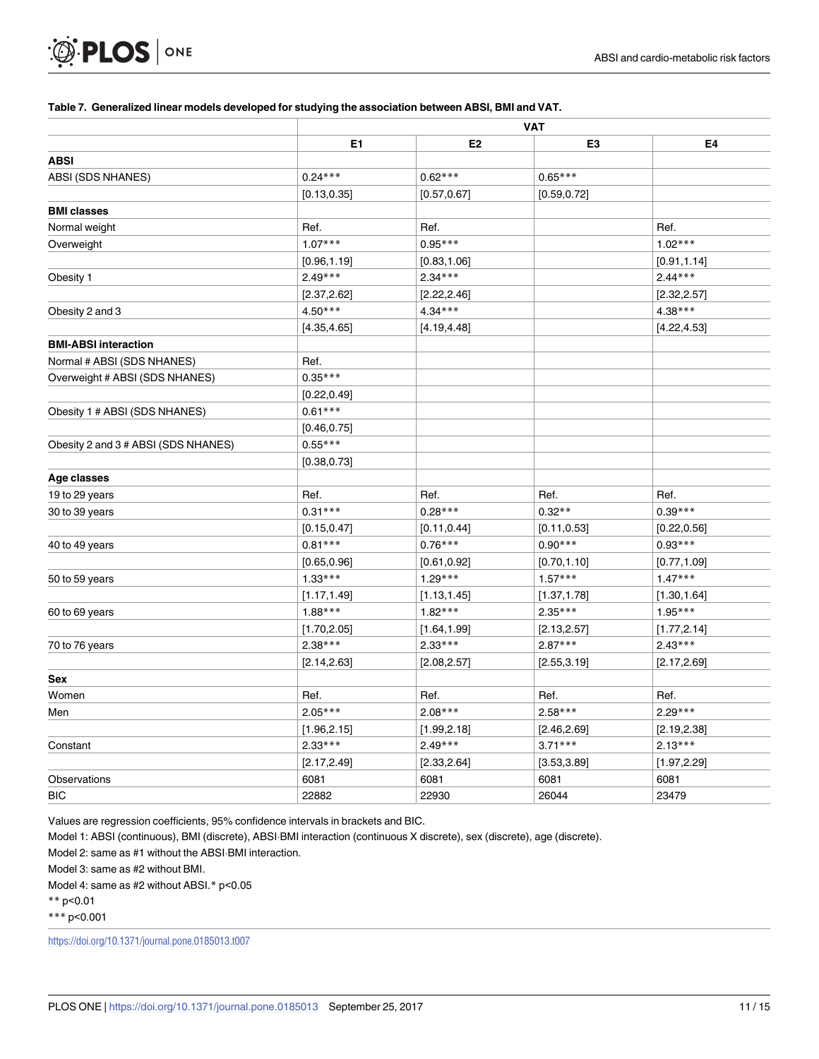#### **[Table](#page-5-0) 7. Generalized linear models developed for studying the association between ABSI, BMI and VAT.**

|                                     | <b>VAT</b>   |                |              |              |  |  |
|-------------------------------------|--------------|----------------|--------------|--------------|--|--|
|                                     | E1           | E <sub>2</sub> | E3           | E4           |  |  |
| <b>ABSI</b>                         |              |                |              |              |  |  |
| ABSI (SDS NHANES)                   | $0.24***$    | $0.62***$      | $0.65***$    |              |  |  |
|                                     | [0.13, 0.35] | [0.57, 0.67]   | [0.59, 0.72] |              |  |  |
| <b>BMI classes</b>                  |              |                |              |              |  |  |
| Normal weight                       | Ref.         | Ref.           |              | Ref.         |  |  |
| Overweight                          | $1.07***$    | $0.95***$      |              | $1.02***$    |  |  |
|                                     | [0.96, 1.19] | [0.83, 1.06]   |              | [0.91, 1.14] |  |  |
| Obesity 1                           | $2.49***$    | $2.34***$      |              | $2.44***$    |  |  |
|                                     | [2.37, 2.62] | [2.22, 2.46]   |              | [2.32, 2.57] |  |  |
| Obesity 2 and 3                     | $4.50***$    | $4.34***$      |              | $4.38***$    |  |  |
|                                     | [4.35, 4.65] | [4.19, 4.48]   |              | [4.22, 4.53] |  |  |
| <b>BMI-ABSI interaction</b>         |              |                |              |              |  |  |
| Normal # ABSI (SDS NHANES)          | Ref.         |                |              |              |  |  |
| Overweight # ABSI (SDS NHANES)      | $0.35***$    |                |              |              |  |  |
|                                     | [0.22, 0.49] |                |              |              |  |  |
| Obesity 1 # ABSI (SDS NHANES)       | $0.61***$    |                |              |              |  |  |
|                                     | [0.46, 0.75] |                |              |              |  |  |
| Obesity 2 and 3 # ABSI (SDS NHANES) | $0.55***$    |                |              |              |  |  |
|                                     | [0.38, 0.73] |                |              |              |  |  |
| Age classes                         |              |                |              |              |  |  |
| 19 to 29 years                      | Ref.         | Ref.           | Ref.         | Ref.         |  |  |
| 30 to 39 years                      | $0.31***$    | $0.28***$      | $0.32**$     | $0.39***$    |  |  |
|                                     | [0.15, 0.47] | [0.11, 0.44]   | [0.11, 0.53] | [0.22, 0.56] |  |  |
| 40 to 49 years                      | $0.81***$    | $0.76***$      | $0.90***$    | $0.93***$    |  |  |
|                                     | [0.65, 0.96] | [0.61, 0.92]   | [0.70, 1.10] | [0.77, 1.09] |  |  |
| 50 to 59 years                      | $1.33***$    | $1.29***$      | $1.57***$    | $1.47***$    |  |  |
|                                     | [1.17, 1.49] | [1.13, 1.45]   | [1.37, 1.78] | [1.30, 1.64] |  |  |
| 60 to 69 years                      | $1.88***$    | $1.82***$      | $2.35***$    | $1.95***$    |  |  |
|                                     | [1.70, 2.05] | [1.64, 1.99]   | [2.13, 2.57] | [1.77, 2.14] |  |  |
| 70 to 76 years                      | $2.38***$    | $2.33***$      | $2.87***$    | $2.43***$    |  |  |
|                                     | [2.14, 2.63] | [2.08, 2.57]   | [2.55, 3.19] | [2.17, 2.69] |  |  |
| Sex                                 |              |                |              |              |  |  |
| Women                               | Ref.         | Ref.           | Ref.         | Ref.         |  |  |
| Men                                 | $2.05***$    | $2.08***$      | $2.58***$    | $2.29***$    |  |  |
|                                     | [1.96, 2.15] | [1.99, 2.18]   | [2.46, 2.69] | [2.19, 2.38] |  |  |
| Constant                            | $2.33***$    | $2.49***$      | $3.71***$    | $2.13***$    |  |  |
|                                     | [2.17, 2.49] | [2.33, 2.64]   | [3.53, 3.89] | [1.97, 2.29] |  |  |
| Observations                        | 6081         | 6081           | 6081         | 6081         |  |  |
| BIC                                 | 22882        | 22930          | 26044        | 23479        |  |  |

Values are regression coefficients, 95% confidence intervals in brackets and BIC.

Model 1: ABSI (continuous), BMI (discrete), ABSI BMI interaction (continuous X discrete), sex (discrete), age (discrete).

Model 2: same as #1 without the ABSI BMI interaction.

Model 3: same as #2 without BMI.

PLOS ONE

<span id="page-10-0"></span> $\cdot \circledcirc$ 

Model 4: same as #2 without ABSI.\* p<0.05

\*\* p<0.01

\*\*\* p<0.001

<https://doi.org/10.1371/journal.pone.0185013.t007>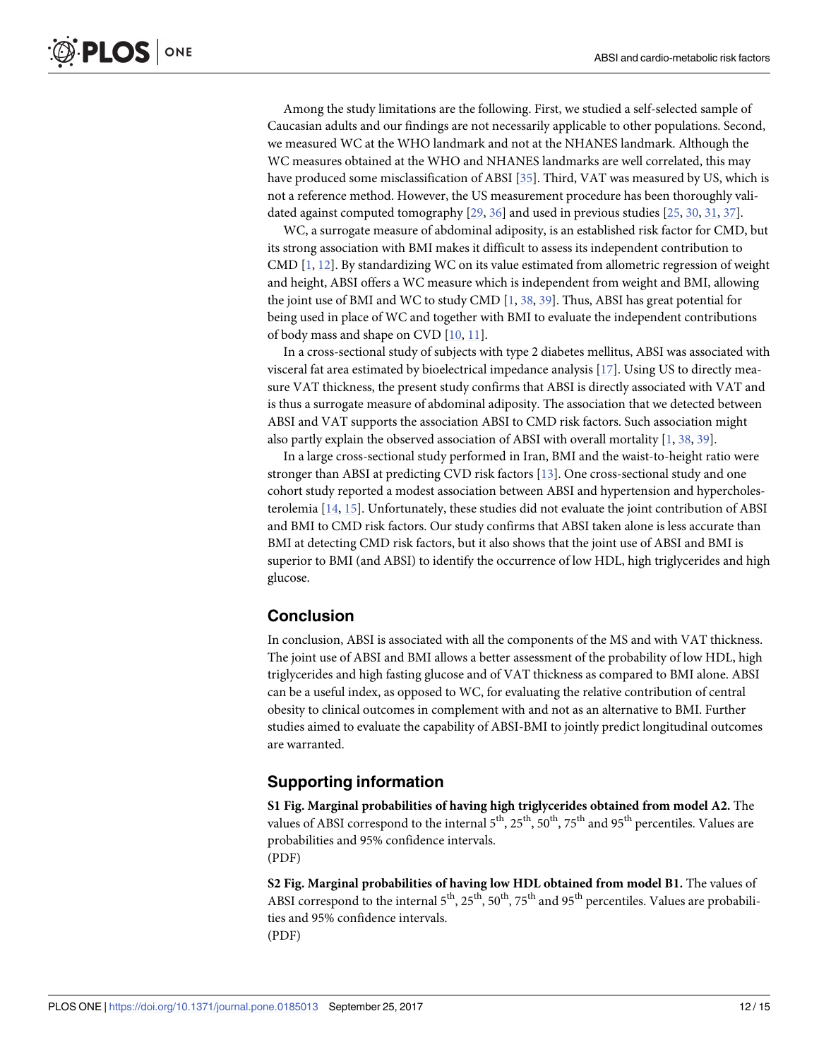<span id="page-11-0"></span>Among the study limitations are the following. First, we studied a self-selected sample of Caucasian adults and our findings are not necessarily applicable to other populations. Second, we measured WC at the WHO landmark and not at the NHANES landmark. Although the WC measures obtained at the WHO and NHANES landmarks are well correlated, this may have produced some misclassification of ABSI [[35](#page-14-0)]. Third, VAT was measured by US, which is not a reference method. However, the US measurement procedure has been thoroughly validated against computed tomography [[29](#page-14-0), [36](#page-14-0)] and used in previous studies [[25](#page-14-0), [30](#page-14-0), [31](#page-14-0), [37](#page-14-0)].

WC, a surrogate measure of abdominal adiposity, is an established risk factor for CMD, but its strong association with BMI makes it difficult to assess its independent contribution to CMD  $[1, 12]$  $[1, 12]$  $[1, 12]$  $[1, 12]$  $[1, 12]$ . By standardizing WC on its value estimated from allometric regression of weight and height, ABSI offers a WC measure which is independent from weight and BMI, allowing the joint use of BMI and WC to study CMD [[1,](#page-12-0) [38,](#page-14-0) [39\]](#page-14-0). Thus, ABSI has great potential for being used in place of WC and together with BMI to evaluate the independent contributions of body mass and shape on CVD [[10](#page-13-0), [11](#page-13-0)].

In a cross-sectional study of subjects with type 2 diabetes mellitus, ABSI was associated with visceral fat area estimated by bioelectrical impedance analysis [\[17\]](#page-13-0). Using US to directly measure VAT thickness, the present study confirms that ABSI is directly associated with VAT and is thus a surrogate measure of abdominal adiposity. The association that we detected between ABSI and VAT supports the association ABSI to CMD risk factors. Such association might also partly explain the observed association of ABSI with overall mortality [\[1,](#page-12-0) [38,](#page-14-0) [39\]](#page-14-0).

In a large cross-sectional study performed in Iran, BMI and the waist-to-height ratio were stronger than ABSI at predicting CVD risk factors [[13\]](#page-13-0). One cross-sectional study and one cohort study reported a modest association between ABSI and hypertension and hypercholesterolemia [\[14,](#page-13-0) [15\]](#page-13-0). Unfortunately, these studies did not evaluate the joint contribution of ABSI and BMI to CMD risk factors. Our study confirms that ABSI taken alone is less accurate than BMI at detecting CMD risk factors, but it also shows that the joint use of ABSI and BMI is superior to BMI (and ABSI) to identify the occurrence of low HDL, high triglycerides and high glucose.

# **Conclusion**

In conclusion, ABSI is associated with all the components of the MS and with VAT thickness. The joint use of ABSI and BMI allows a better assessment of the probability of low HDL, high triglycerides and high fasting glucose and of VAT thickness as compared to BMI alone. ABSI can be a useful index, as opposed to WC, for evaluating the relative contribution of central obesity to clinical outcomes in complement with and not as an alternative to BMI. Further studies aimed to evaluate the capability of ABSI-BMI to jointly predict longitudinal outcomes are warranted.

# **Supporting information**

**S1 [Fig](http://www.plosone.org/article/fetchSingleRepresentation.action?uri=info:doi/10.1371/journal.pone.0185013.s001). Marginal probabilities of having high triglycerides obtained from model A2.** The values of ABSI correspond to the internal  $5<sup>th</sup>$ ,  $25<sup>th</sup>$ ,  $50<sup>th</sup>$ ,  $75<sup>th</sup>$  and  $95<sup>th</sup>$  percentiles. Values are probabilities and 95% confidence intervals. (PDF)

**S2 [Fig](http://www.plosone.org/article/fetchSingleRepresentation.action?uri=info:doi/10.1371/journal.pone.0185013.s002). Marginal probabilities of having low HDL obtained from model B1.** The values of ABSI correspond to the internal  $5<sup>th</sup>$ ,  $25<sup>th</sup>$ ,  $50<sup>th</sup>$ ,  $75<sup>th</sup>$  and  $95<sup>th</sup>$  percentiles. Values are probabilities and 95% confidence intervals. (PDF)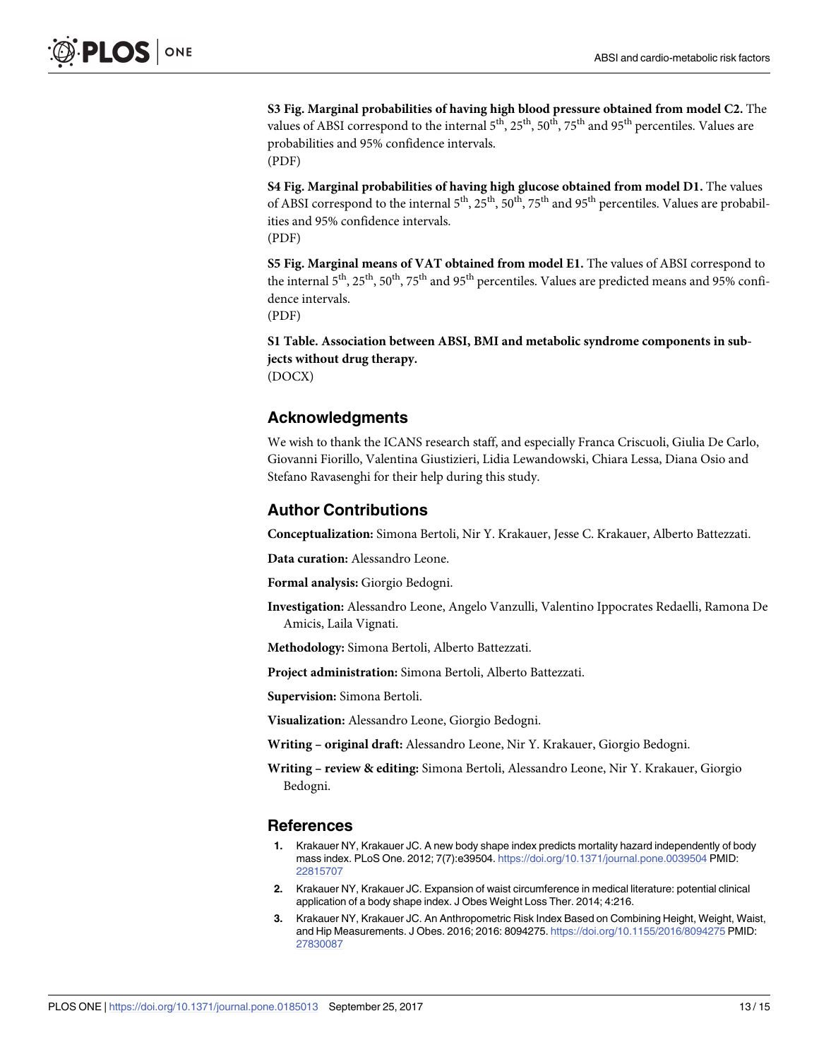<span id="page-12-0"></span>**S3 [Fig](http://www.plosone.org/article/fetchSingleRepresentation.action?uri=info:doi/10.1371/journal.pone.0185013.s003). Marginal probabilities of having high blood pressure obtained from model C2.** The values of ABSI correspond to the internal  $5<sup>th</sup>$ ,  $25<sup>th</sup>$ ,  $50<sup>th</sup>$ ,  $75<sup>th</sup>$  and  $95<sup>th</sup>$  percentiles. Values are probabilities and 95% confidence intervals.

(PDF)

**S4 [Fig](http://www.plosone.org/article/fetchSingleRepresentation.action?uri=info:doi/10.1371/journal.pone.0185013.s004). Marginal probabilities of having high glucose obtained from model D1.** The values of ABSI correspond to the internal  $5<sup>th</sup>$ ,  $25<sup>th</sup>$ ,  $50<sup>th</sup>$ ,  $75<sup>th</sup>$  and  $95<sup>th</sup>$  percentiles. Values are probabilities and 95% confidence intervals. (PDF)

**S5 [Fig](http://www.plosone.org/article/fetchSingleRepresentation.action?uri=info:doi/10.1371/journal.pone.0185013.s005). Marginal means of VAT obtained from model E1.** The values of ABSI correspond to the internal  $5<sup>th</sup>$ ,  $25<sup>th</sup>$ ,  $50<sup>th</sup>$ ,  $75<sup>th</sup>$  and  $95<sup>th</sup>$  percentiles. Values are predicted means and 95% confidence intervals.

(PDF)

**S1 [Table.](http://www.plosone.org/article/fetchSingleRepresentation.action?uri=info:doi/10.1371/journal.pone.0185013.s006) Association between ABSI, BMI and metabolic syndrome components in subjects without drug therapy.** (DOCX)

### **Acknowledgments**

We wish to thank the ICANS research staff, and especially Franca Criscuoli, Giulia De Carlo, Giovanni Fiorillo, Valentina Giustizieri, Lidia Lewandowski, Chiara Lessa, Diana Osio and Stefano Ravasenghi for their help during this study.

### **Author Contributions**

**Conceptualization:** Simona Bertoli, Nir Y. Krakauer, Jesse C. Krakauer, Alberto Battezzati.

**Data curation:** Alessandro Leone.

**Formal analysis:** Giorgio Bedogni.

- **Investigation:** Alessandro Leone, Angelo Vanzulli, Valentino Ippocrates Redaelli, Ramona De Amicis, Laila Vignati.
- **Methodology:** Simona Bertoli, Alberto Battezzati.
- **Project administration:** Simona Bertoli, Alberto Battezzati.

**Supervision:** Simona Bertoli.

**Visualization:** Alessandro Leone, Giorgio Bedogni.

**Writing – original draft:** Alessandro Leone, Nir Y. Krakauer, Giorgio Bedogni.

**Writing – review & editing:** Simona Bertoli, Alessandro Leone, Nir Y. Krakauer, Giorgio Bedogni.

#### **References**

- **[1](#page-0-0).** Krakauer NY, Krakauer JC. A new body shape index predicts mortality hazard independently of body mass index. PLoS One. 2012; 7(7):e39504. <https://doi.org/10.1371/journal.pone.0039504> PMID: [22815707](http://www.ncbi.nlm.nih.gov/pubmed/22815707)
- **[2](#page-3-0).** Krakauer NY, Krakauer JC. Expansion of waist circumference in medical literature: potential clinical application of a body shape index. J Obes Weight Loss Ther. 2014; 4:216.
- **[3](#page-1-0).** Krakauer NY, Krakauer JC. An Anthropometric Risk Index Based on Combining Height, Weight, Waist, and Hip Measurements. J Obes. 2016; 2016: 8094275. <https://doi.org/10.1155/2016/8094275> PMID: [27830087](http://www.ncbi.nlm.nih.gov/pubmed/27830087)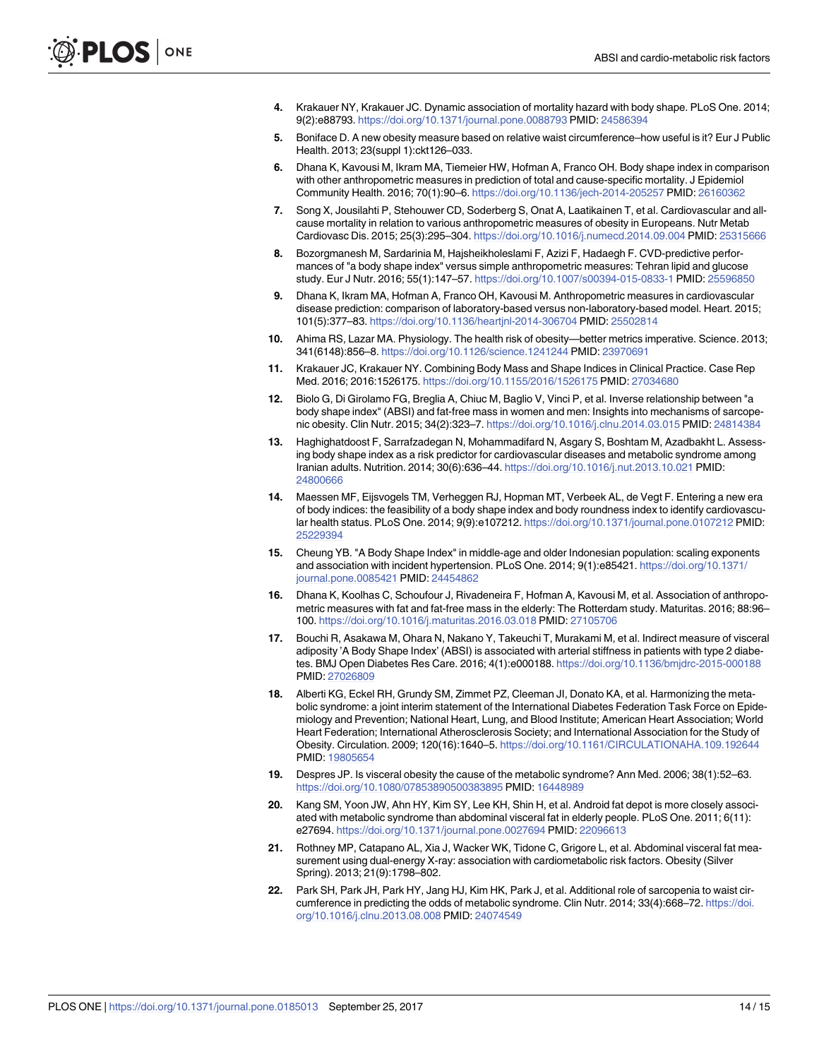- <span id="page-13-0"></span>**[4](#page-1-0).** Krakauer NY, Krakauer JC. Dynamic association of mortality hazard with body shape. PLoS One. 2014; 9(2):e88793. <https://doi.org/10.1371/journal.pone.0088793> PMID: [24586394](http://www.ncbi.nlm.nih.gov/pubmed/24586394)
- **5.** Boniface D. A new obesity measure based on relative waist circumference–how useful is it? Eur J Public Health. 2013; 23(suppl 1):ckt126–033.
- **6.** Dhana K, Kavousi M, Ikram MA, Tiemeier HW, Hofman A, Franco OH. Body shape index in comparison with other anthropometric measures in prediction of total and cause-specific mortality. J Epidemiol Community Health. 2016; 70(1):90–6. <https://doi.org/10.1136/jech-2014-205257> PMID: [26160362](http://www.ncbi.nlm.nih.gov/pubmed/26160362)
- **[7](#page-1-0).** Song X, Jousilahti P, Stehouwer CD, Soderberg S, Onat A, Laatikainen T, et al. Cardiovascular and allcause mortality in relation to various anthropometric measures of obesity in Europeans. Nutr Metab Cardiovasc Dis. 2015; 25(3):295–304. <https://doi.org/10.1016/j.numecd.2014.09.004> PMID: [25315666](http://www.ncbi.nlm.nih.gov/pubmed/25315666)
- **[8](#page-1-0).** Bozorgmanesh M, Sardarinia M, Hajsheikholeslami F, Azizi F, Hadaegh F. CVD-predictive performances of "a body shape index" versus simple anthropometric measures: Tehran lipid and glucose study. Eur J Nutr. 2016; 55(1):147–57. <https://doi.org/10.1007/s00394-015-0833-1> PMID: [25596850](http://www.ncbi.nlm.nih.gov/pubmed/25596850)
- **[9](#page-1-0).** Dhana K, Ikram MA, Hofman A, Franco OH, Kavousi M. Anthropometric measures in cardiovascular disease prediction: comparison of laboratory-based versus non-laboratory-based model. Heart. 2015; 101(5):377–83. <https://doi.org/10.1136/heartjnl-2014-306704> PMID: [25502814](http://www.ncbi.nlm.nih.gov/pubmed/25502814)
- **[10](#page-1-0).** Ahima RS, Lazar MA. Physiology. The health risk of obesity—better metrics imperative. Science. 2013; 341(6148):856–8. <https://doi.org/10.1126/science.1241244> PMID: [23970691](http://www.ncbi.nlm.nih.gov/pubmed/23970691)
- **[11](#page-1-0).** Krakauer JC, Krakauer NY. Combining Body Mass and Shape Indices in Clinical Practice. Case Rep Med. 2016; 2016:1526175. <https://doi.org/10.1155/2016/1526175> PMID: [27034680](http://www.ncbi.nlm.nih.gov/pubmed/27034680)
- **[12](#page-1-0).** Biolo G, Di Girolamo FG, Breglia A, Chiuc M, Baglio V, Vinci P, et al. Inverse relationship between "a body shape index" (ABSI) and fat-free mass in women and men: Insights into mechanisms of sarcopenic obesity. Clin Nutr. 2015; 34(2):323–7. <https://doi.org/10.1016/j.clnu.2014.03.015> PMID: [24814384](http://www.ncbi.nlm.nih.gov/pubmed/24814384)
- **[13](#page-1-0).** Haghighatdoost F, Sarrafzadegan N, Mohammadifard N, Asgary S, Boshtam M, Azadbakht L. Assessing body shape index as a risk predictor for cardiovascular diseases and metabolic syndrome among Iranian adults. Nutrition. 2014; 30(6):636–44. <https://doi.org/10.1016/j.nut.2013.10.021> PMID: [24800666](http://www.ncbi.nlm.nih.gov/pubmed/24800666)
- **[14](#page-11-0).** Maessen MF, Eijsvogels TM, Verheggen RJ, Hopman MT, Verbeek AL, de Vegt F. Entering a new era of body indices: the feasibility of a body shape index and body roundness index to identify cardiovascular health status. PLoS One. 2014; 9(9):e107212. <https://doi.org/10.1371/journal.pone.0107212> PMID: [25229394](http://www.ncbi.nlm.nih.gov/pubmed/25229394)
- **[15](#page-1-0).** Cheung YB. "A Body Shape Index" in middle-age and older Indonesian population: scaling exponents and association with incident hypertension. PLoS One. 2014; 9(1):e85421. [https://doi.org/10.1371/](https://doi.org/10.1371/journal.pone.0085421) [journal.pone.0085421](https://doi.org/10.1371/journal.pone.0085421) PMID: [24454862](http://www.ncbi.nlm.nih.gov/pubmed/24454862)
- **[16](#page-1-0).** Dhana K, Koolhas C, Schoufour J, Rivadeneira F, Hofman A, Kavousi M, et al. Association of anthropometric measures with fat and fat-free mass in the elderly: The Rotterdam study. Maturitas. 2016; 88:96– 100. <https://doi.org/10.1016/j.maturitas.2016.03.018> PMID: [27105706](http://www.ncbi.nlm.nih.gov/pubmed/27105706)
- **[17](#page-1-0).** Bouchi R, Asakawa M, Ohara N, Nakano Y, Takeuchi T, Murakami M, et al. Indirect measure of visceral adiposity 'A Body Shape Index' (ABSI) is associated with arterial stiffness in patients with type 2 diabetes. BMJ Open Diabetes Res Care. 2016; 4(1):e000188. <https://doi.org/10.1136/bmjdrc-2015-000188> PMID: [27026809](http://www.ncbi.nlm.nih.gov/pubmed/27026809)
- **[18](#page-1-0).** Alberti KG, Eckel RH, Grundy SM, Zimmet PZ, Cleeman JI, Donato KA, et al. Harmonizing the metabolic syndrome: a joint interim statement of the International Diabetes Federation Task Force on Epidemiology and Prevention; National Heart, Lung, and Blood Institute; American Heart Association; World Heart Federation; International Atherosclerosis Society; and International Association for the Study of Obesity. Circulation. 2009; 120(16):1640–5. <https://doi.org/10.1161/CIRCULATIONAHA.109.192644> PMID: [19805654](http://www.ncbi.nlm.nih.gov/pubmed/19805654)
- **19.** Despres JP. Is visceral obesity the cause of the metabolic syndrome? Ann Med. 2006; 38(1):52–63. <https://doi.org/10.1080/07853890500383895> PMID: [16448989](http://www.ncbi.nlm.nih.gov/pubmed/16448989)
- **20.** Kang SM, Yoon JW, Ahn HY, Kim SY, Lee KH, Shin H, et al. Android fat depot is more closely associated with metabolic syndrome than abdominal visceral fat in elderly people. PLoS One. 2011; 6(11): e27694. <https://doi.org/10.1371/journal.pone.0027694> PMID: [22096613](http://www.ncbi.nlm.nih.gov/pubmed/22096613)
- **[21](#page-1-0).** Rothney MP, Catapano AL, Xia J, Wacker WK, Tidone C, Grigore L, et al. Abdominal visceral fat measurement using dual-energy X-ray: association with cardiometabolic risk factors. Obesity (Silver Spring). 2013; 21(9):1798–802.
- **[22](#page-1-0).** Park SH, Park JH, Park HY, Jang HJ, Kim HK, Park J, et al. Additional role of sarcopenia to waist circumference in predicting the odds of metabolic syndrome. Clin Nutr. 2014; 33(4):668–72. [https://doi.](https://doi.org/10.1016/j.clnu.2013.08.008) [org/10.1016/j.clnu.2013.08.008](https://doi.org/10.1016/j.clnu.2013.08.008) PMID: [24074549](http://www.ncbi.nlm.nih.gov/pubmed/24074549)